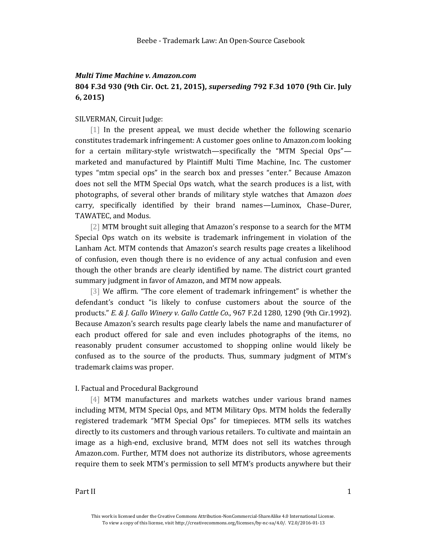#### *Multi Time Machine v. Amazon.com*

# **804 F.3d 930 (9th Cir. Oct. 21, 2015),** *superseding* **792 F.3d 1070 (9th Cir. July 6, 2015)**

### SILVERMAN, Circuit Judge:

[1] In the present appeal, we must decide whether the following scenario constitutes trademark infringement: A customer goes online to Amazon.com looking for a certain military-style wristwatch—specifically the "MTM Special Ops" marketed and manufactured by Plaintiff Multi Time Machine, Inc. The customer types "mtm special ops" in the search box and presses "enter." Because Amazon does not sell the MTM Special Ops watch, what the search produces is a list, with photographs, of several other brands of military style watches that Amazon *does* carry, specifically identified by their brand names—Luminox, Chase–Durer, TAWATEC, and Modus.

[2] MTM brought suit alleging that Amazon's response to a search for the MTM Special Ops watch on its website is trademark infringement in violation of the Lanham Act. MTM contends that Amazon's search results page creates a likelihood of confusion, even though there is no evidence of any actual confusion and even though the other brands are clearly identified by name. The district court granted summary judgment in favor of Amazon, and MTM now appeals.

[3] We affirm. "The core element of trademark infringement" is whether the defendant's conduct "is likely to confuse customers about the source of the products." *E. & J. Gallo Winery v. Gallo Cattle Co.,* 967 F.2d 1280, 1290 (9th Cir.1992). Because Amazon's search results page clearly labels the name and manufacturer of each product offered for sale and even includes photographs of the items, no reasonably prudent consumer accustomed to shopping online would likely be confused as to the source of the products. Thus, summary judgment of MTM's trademark claims was proper.

#### I. Factual and Procedural Background

[4] MTM manufactures and markets watches under various brand names including MTM, MTM Special Ops, and MTM Military Ops. MTM holds the federally registered trademark "MTM Special Ops" for timepieces. MTM sells its watches directly to its customers and through various retailers. To cultivate and maintain an image as a high-end, exclusive brand, MTM does not sell its watches through Amazon.com. Further, MTM does not authorize its distributors, whose agreements require them to seek MTM's permission to sell MTM's products anywhere but their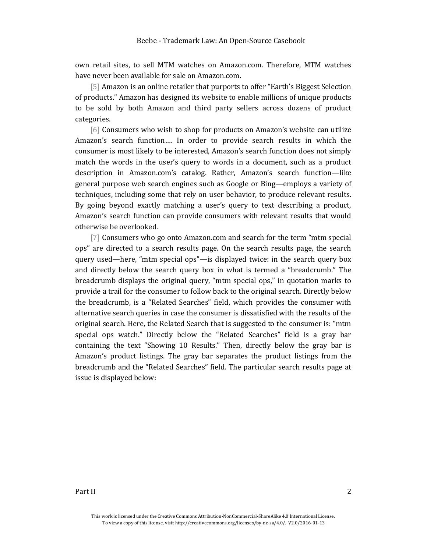own retail sites, to sell MTM watches on Amazon.com. Therefore, MTM watches have never been available for sale on Amazon.com.

[5] Amazon is an online retailer that purports to offer "Earth's Biggest Selection of products." Amazon has designed its website to enable millions of unique products to be sold by both Amazon and third party sellers across dozens of product categories.

[6] Consumers who wish to shop for products on Amazon's website can utilize Amazon's search function…. In order to provide search results in which the consumer is most likely to be interested, Amazon's search function does not simply match the words in the user's query to words in a document, such as a product description in Amazon.com's catalog. Rather, Amazon's search function—like general purpose web search engines such as Google or Bing—employs a variety of techniques, including some that rely on user behavior, to produce relevant results. By going beyond exactly matching a user's query to text describing a product, Amazon's search function can provide consumers with relevant results that would otherwise be overlooked.

[7] Consumers who go onto Amazon.com and search for the term "mtm special" ops" are directed to a search results page. On the search results page, the search query used—here, "mtm special ops"—is displayed twice: in the search query box and directly below the search query box in what is termed a "breadcrumb." The breadcrumb displays the original query, "mtm special ops," in quotation marks to provide a trail for the consumer to follow back to the original search. Directly below the breadcrumb, is a "Related Searches" field, which provides the consumer with alternative search queries in case the consumer is dissatisfied with the results of the original search. Here, the Related Search that is suggested to the consumer is: "mtm special ops watch." Directly below the "Related Searches" field is a gray bar containing the text "Showing 10 Results." Then, directly below the gray bar is Amazon's product listings. The gray bar separates the product listings from the breadcrumb and the "Related Searches" field. The particular search results page at issue is displayed below: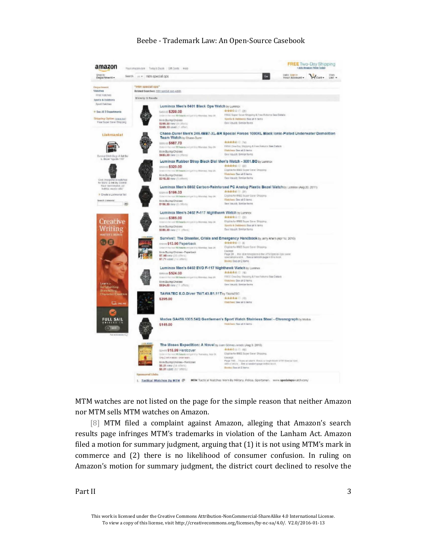## Beebe - Trademark Law: An Open-Source Casebook



MTM watches are not listed on the page for the simple reason that neither Amazon nor MTM sells MTM watches on Amazon.

[8] MTM filed a complaint against Amazon, alleging that Amazon's search results page infringes MTM's trademarks in violation of the Lanham Act. Amazon filed a motion for summary judgment, arguing that (1) it is not using MTM's mark in commerce and (2) there is no likelihood of consumer confusion. In ruling on Amazon's motion for summary judgment, the district court declined to resolve the

Part II 3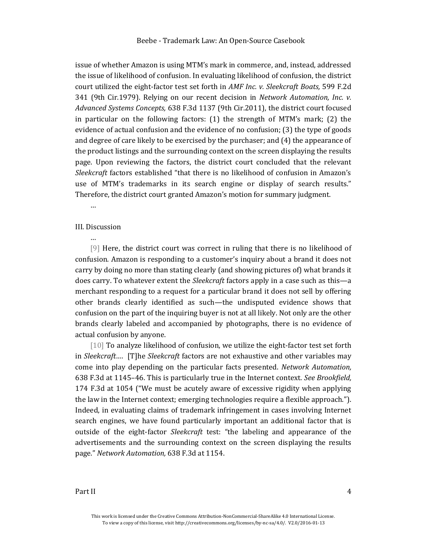issue of whether Amazon is using MTM's mark in commerce, and, instead, addressed the issue of likelihood of confusion. In evaluating likelihood of confusion, the district court utilized the eight-factor test set forth in *AMF Inc. v. Sleekcraft Boats,* 599 F.2d 341 (9th Cir.1979). Relying on our recent decision in *Network Automation, Inc. v. Advanced Systems Concepts,* 638 F.3d 1137 (9th Cir.2011), the district court focused in particular on the following factors: (1) the strength of MTM's mark; (2) the evidence of actual confusion and the evidence of no confusion; (3) the type of goods and degree of care likely to be exercised by the purchaser; and (4) the appearance of the product listings and the surrounding context on the screen displaying the results page. Upon reviewing the factors, the district court concluded that the relevant *Sleekcraft* factors established "that there is no likelihood of confusion in Amazon's use of MTM's trademarks in its search engine or display of search results." Therefore, the district court granted Amazon's motion for summary judgment.

…

#### III. Discussion

…

[9] Here, the district court was correct in ruling that there is no likelihood of confusion. Amazon is responding to a customer's inquiry about a brand it does not carry by doing no more than stating clearly (and showing pictures of) what brands it does carry. To whatever extent the *Sleekcraft* factors apply in a case such as this—a merchant responding to a request for a particular brand it does not sell by offering other brands clearly identified as such—the undisputed evidence shows that confusion on the part of the inquiring buyer is not at all likely. Not only are the other brands clearly labeled and accompanied by photographs, there is no evidence of actual confusion by anyone.

[10] To analyze likelihood of confusion, we utilize the eight-factor test set forth in *Sleekcraft…*. [T]he *Sleekcraft* factors are not exhaustive and other variables may come into play depending on the particular facts presented. *Network Automation,* 638 F.3d at 1145–46. This is particularly true in the Internet context. *See Brookfield,* 174 F.3d at 1054 ("We must be acutely aware of excessive rigidity when applying the law in the Internet context; emerging technologies require a flexible approach."). Indeed, in evaluating claims of trademark infringement in cases involving Internet search engines, we have found particularly important an additional factor that is outside of the eight-factor *Sleekcraft* test: "the labeling and appearance of the advertisements and the surrounding context on the screen displaying the results page." *Network Automation,* 638 F.3d at 1154.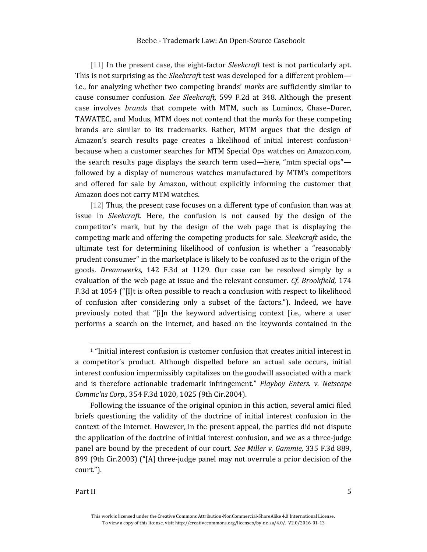[11] In the present case, the eight-factor *Sleekcraft* test is not particularly apt. This is not surprising as the *Sleekcraft* test was developed for a different problem i.e., for analyzing whether two competing brands' *marks* are sufficiently similar to cause consumer confusion. *See Sleekcraft,* 599 F.2d at 348. Although the present case involves *brands* that compete with MTM, such as Luminox, Chase–Durer, TAWATEC, and Modus, MTM does not contend that the *marks* for these competing brands are similar to its trademarks. Rather, MTM argues that the design of Amazon's search results page creates a likelihood of initial interest confusion<sup>1</sup> because when a customer searches for MTM Special Ops watches on Amazon.com, the search results page displays the search term used—here, "mtm special ops" followed by a display of numerous watches manufactured by MTM's competitors and offered for sale by Amazon, without explicitly informing the customer that Amazon does not carry MTM watches.

[12] Thus, the present case focuses on a different type of confusion than was at issue in *Sleekcraft.* Here, the confusion is not caused by the design of the competitor's mark, but by the design of the web page that is displaying the competing mark and offering the competing products for sale. *Sleekcraft* aside, the ultimate test for determining likelihood of confusion is whether a "reasonably prudent consumer" in the marketplace is likely to be confused as to the origin of the goods. *Dreamwerks,* 142 F.3d at 1129. Our case can be resolved simply by a evaluation of the web page at issue and the relevant consumer. *Cf. Brookfield,* 174 F.3d at 1054 ("[I]t is often possible to reach a conclusion with respect to likelihood of confusion after considering only a subset of the factors."). Indeed, we have previously noted that "[i]n the keyword advertising context [i.e., where a user performs a search on the internet, and based on the keywords contained in the

<sup>1</sup> "Initial interest confusion is customer confusion that creates initial interest in a competitor's product. Although dispelled before an actual sale occurs, initial interest confusion impermissibly capitalizes on the goodwill associated with a mark and is therefore actionable trademark infringement." *Playboy Enters. v. Netscape Commc'ns Corp.,* 354 F.3d 1020, 1025 (9th Cir.2004).

Following the issuance of the original opinion in this action, several amici filed briefs questioning the validity of the doctrine of initial interest confusion in the context of the Internet. However, in the present appeal, the parties did not dispute the application of the doctrine of initial interest confusion, and we as a three-judge panel are bound by the precedent of our court. *See Miller v. Gammie,* 335 F.3d 889, 899 (9th Cir.2003) ("[A] three-judge panel may not overrule a prior decision of the court.").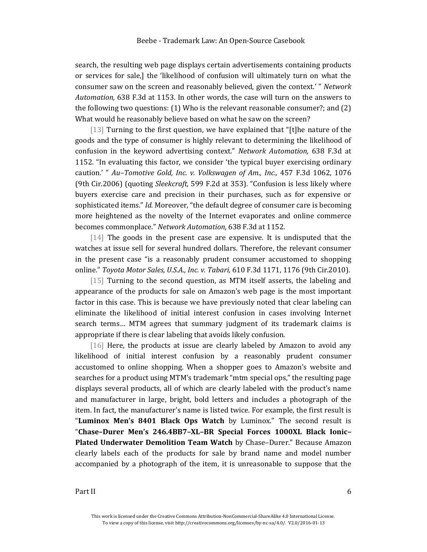search, the resulting web page displays certain advertisements containing products or services for sale,] the 'likelihood of confusion will ultimately turn on what the consumer saw on the screen and reasonably believed, given the context.' " *Network Automation,* 638 F.3d at 1153. In other words, the case will turn on the answers to the following two questions: (1) Who is the relevant reasonable consumer?; and (2) What would he reasonably believe based on what he saw on the screen?

[13] Turning to the first question, we have explained that "[t]he nature of the goods and the type of consumer is highly relevant to determining the likelihood of confusion in the keyword advertising context." *Network Automation,* 638 F.3d at 1152. "In evaluating this factor, we consider 'the typical buyer exercising ordinary caution.' " *Au–Tomotive Gold, Inc. v. Volkswagen of Am., Inc.,* 457 F.3d 1062, 1076 (9th Cir.2006) (quoting *Sleekcraft,* 599 F.2d at 353). "Confusion is less likely where buyers exercise care and precision in their purchases, such as for expensive or sophisticated items." *Id.* Moreover, "the default degree of consumer care is becoming more heightened as the novelty of the Internet evaporates and online commerce becomes commonplace." *Network Automation,* 638 F.3d at 1152.

[14] The goods in the present case are expensive. It is undisputed that the watches at issue sell for several hundred dollars. Therefore, the relevant consumer in the present case "is a reasonably prudent consumer accustomed to shopping online." *Toyota Motor Sales, U.S.A., Inc. v. Tabari,* 610 F.3d 1171, 1176 (9th Cir.2010).

[15] Turning to the second question, as MTM itself asserts, the labeling and appearance of the products for sale on Amazon's web page is the most important factor in this case. This is because we have previously noted that clear labeling can eliminate the likelihood of initial interest confusion in cases involving Internet search terms… MTM agrees that summary judgment of its trademark claims is appropriate if there is clear labeling that avoids likely confusion.

[16] Here, the products at issue are clearly labeled by Amazon to avoid any likelihood of initial interest confusion by a reasonably prudent consumer accustomed to online shopping. When a shopper goes to Amazon's website and searches for a product using MTM's trademark "mtm special ops," the resulting page displays several products, all of which are clearly labeled with the product's name and manufacturer in large, bright, bold letters and includes a photograph of the item. In fact, the manufacturer's name is listed twice. For example, the first result is "**Luminox Men's 8401 Black Ops Watch** by Luminox." The second result is "**Chase–Durer Men's 246.4BB7–XL–BR Special Forces 1000XL Black Ionic– Plated Underwater Demolition Team Watch** by Chase–Durer." Because Amazon clearly labels each of the products for sale by brand name and model number accompanied by a photograph of the item, it is unreasonable to suppose that the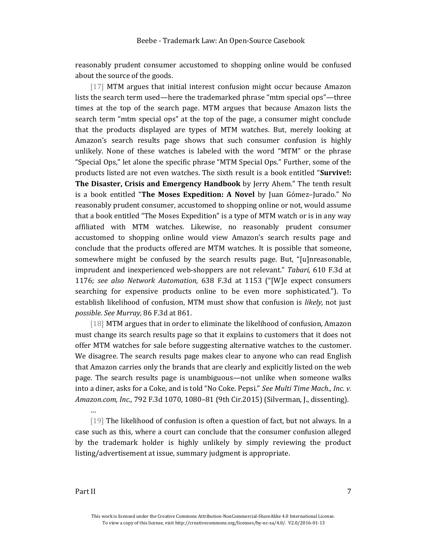reasonably prudent consumer accustomed to shopping online would be confused about the source of the goods.

[17] MTM argues that initial interest confusion might occur because Amazon lists the search term used—here the trademarked phrase "mtm special ops"—three times at the top of the search page. MTM argues that because Amazon lists the search term "mtm special ops" at the top of the page, a consumer might conclude that the products displayed are types of MTM watches. But, merely looking at Amazon's search results page shows that such consumer confusion is highly unlikely. None of these watches is labeled with the word "MTM" or the phrase "Special Ops," let alone the specific phrase "MTM Special Ops." Further, some of the products listed are not even watches. The sixth result is a book entitled "**Survive!: The Disaster, Crisis and Emergency Handbook** by Jerry Ahem." The tenth result is a book entitled "**The Moses Expedition: A Novel** by Juan Gómez–Jurado." No reasonably prudent consumer, accustomed to shopping online or not, would assume that a book entitled "The Moses Expedition" is a type of MTM watch or is in any way affiliated with MTM watches. Likewise, no reasonably prudent consumer accustomed to shopping online would view Amazon's search results page and conclude that the products offered are MTM watches. It is possible that someone, somewhere might be confused by the search results page. But, "[u]nreasonable, imprudent and inexperienced web-shoppers are not relevant." *Tabari,* 610 F.3d at 1176; *see also Network Automation,* 638 F.3d at 1153 ("[W]e expect consumers searching for expensive products online to be even more sophisticated."). To establish likelihood of confusion, MTM must show that confusion is *likely,* not just *possible. See Murray,* 86 F.3d at 861.

[18] MTM argues that in order to eliminate the likelihood of confusion, Amazon must change its search results page so that it explains to customers that it does not offer MTM watches for sale before suggesting alternative watches to the customer. We disagree. The search results page makes clear to anyone who can read English that Amazon carries only the brands that are clearly and explicitly listed on the web page. The search results page is unambiguous—not unlike when someone walks into a diner, asks for a Coke, and is told "No Coke. Pepsi." *See Multi Time Mach., Inc. v. Amazon.com, Inc.,* 792 F.3d 1070, 1080–81 (9th Cir.2015) (Silverman, J., dissenting).

[19] The likelihood of confusion is often a question of fact, but not always. In a case such as this, where a court can conclude that the consumer confusion alleged by the trademark holder is highly unlikely by simply reviewing the product listing/advertisement at issue, summary judgment is appropriate.

…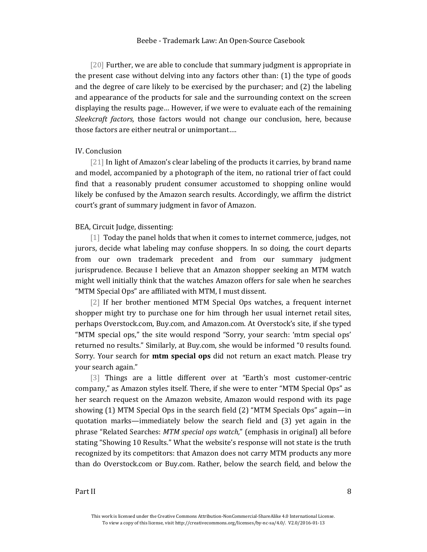[20] Further, we are able to conclude that summary judgment is appropriate in the present case without delving into any factors other than: (1) the type of goods and the degree of care likely to be exercised by the purchaser; and (2) the labeling and appearance of the products for sale and the surrounding context on the screen displaying the results page… However, if we were to evaluate each of the remaining *Sleekcraft factors,* those factors would not change our conclusion, here, because those factors are either neutral or unimportant….

### IV. Conclusion

[21] In light of Amazon's clear labeling of the products it carries, by brand name and model, accompanied by a photograph of the item, no rational trier of fact could find that a reasonably prudent consumer accustomed to shopping online would likely be confused by the Amazon search results. Accordingly, we affirm the district court's grant of summary judgment in favor of Amazon.

### BEA, Circuit Judge, dissenting:

[1] Today the panel holds that when it comes to internet commerce, judges, not jurors, decide what labeling may confuse shoppers. In so doing, the court departs from our own trademark precedent and from our summary judgment jurisprudence. Because I believe that an Amazon shopper seeking an MTM watch might well initially think that the watches Amazon offers for sale when he searches "MTM Special Ops" are affiliated with MTM, I must dissent.

[2] If her brother mentioned MTM Special Ops watches, a frequent internet shopper might try to purchase one for him through her usual internet retail sites, perhaps Overstock.com, Buy.com, and Amazon.com. At Overstock's site, if she typed "MTM special ops," the site would respond "Sorry, your search: 'mtm special ops' returned no results." Similarly, at Buy.com, she would be informed "0 results found. Sorry. Your search for **mtm special ops** did not return an exact match. Please try your search again."

[3] Things are a little different over at "Earth's most customer-centric company," as Amazon styles itself. There, if she were to enter "MTM Special Ops" as her search request on the Amazon website, Amazon would respond with its page showing (1) MTM Special Ops in the search field (2) "MTM Specials Ops" again—in quotation marks—immediately below the search field and (3) yet again in the phrase "Related Searches: *MTM special ops watch,*" (emphasis in original) all before stating "Showing 10 Results." What the website's response will not state is the truth recognized by its competitors: that Amazon does not carry MTM products any more than do Overstock.com or Buy.com. Rather, below the search field, and below the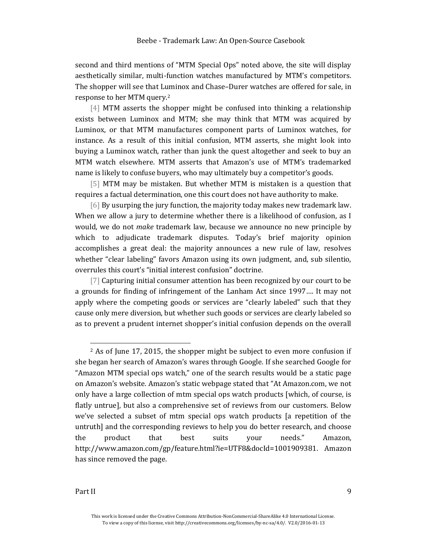second and third mentions of "MTM Special Ops" noted above, the site will display aesthetically similar, multi-function watches manufactured by MTM's competitors. The shopper will see that Luminox and Chase–Durer watches are offered for sale, in response to her MTM query.<sup>2</sup>

[4] MTM asserts the shopper might be confused into thinking a relationship exists between Luminox and MTM; she may think that MTM was acquired by Luminox, or that MTM manufactures component parts of Luminox watches, for instance. As a result of this initial confusion, MTM asserts, she might look into buying a Luminox watch, rather than junk the quest altogether and seek to buy an MTM watch elsewhere. MTM asserts that Amazon's use of MTM's trademarked name is likely to confuse buyers, who may ultimately buy a competitor's goods.

[5] MTM may be mistaken. But whether MTM is mistaken is a question that requires a factual determination, one this court does not have authority to make.

[6] By usurping the jury function, the majority today makes new trademark law. When we allow a jury to determine whether there is a likelihood of confusion, as I would, we do not *make* trademark law, because we announce no new principle by which to adjudicate trademark disputes. Today's brief majority opinion accomplishes a great deal: the majority announces a new rule of law, resolves whether "clear labeling" favors Amazon using its own judgment, and, sub silentio, overrules this court's "initial interest confusion" doctrine.

[7] Capturing initial consumer attention has been recognized by our court to be a grounds for finding of infringement of the Lanham Act since 1997…. It may not apply where the competing goods or services are "clearly labeled" such that they cause only mere diversion, but whether such goods or services are clearly labeled so as to prevent a prudent internet shopper's initial confusion depends on the overall

<sup>2</sup> As of June 17, 2015, the shopper might be subject to even more confusion if she began her search of Amazon's wares through Google. If she searched Google for "Amazon MTM special ops watch," one of the search results would be a static page on Amazon's website. Amazon's static webpage stated that "At Amazon.com, we not only have a large collection of mtm special ops watch products [which, of course, is flatly untrue], but also a comprehensive set of reviews from our customers. Below we've selected a subset of mtm special ops watch products [a repetition of the untruth] and the corresponding reviews to help you do better research, and choose the product that best suits your needs." Amazon, http://www.amazon.com/gp/feature.html?ie=UTF8&docId=1001909381. Amazon has since removed the page.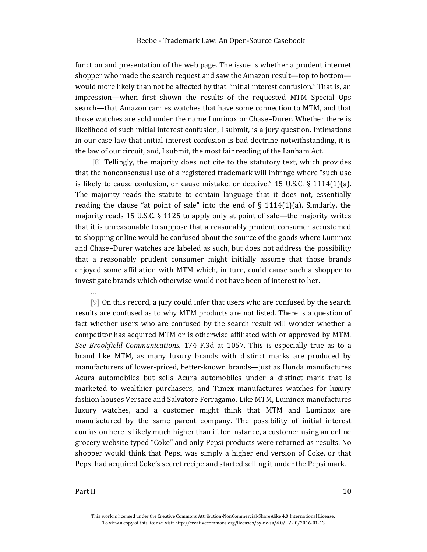function and presentation of the web page. The issue is whether a prudent internet shopper who made the search request and saw the Amazon result—top to bottom would more likely than not be affected by that "initial interest confusion." That is, an impression—when first shown the results of the requested MTM Special Ops search—that Amazon carries watches that have some connection to MTM, and that those watches are sold under the name Luminox or Chase–Durer. Whether there is likelihood of such initial interest confusion, I submit, is a jury question. Intimations in our case law that initial interest confusion is bad doctrine notwithstanding, it is the law of our circuit, and, I submit, the most fair reading of the Lanham Act.

[8] Tellingly, the majority does not cite to the statutory text, which provides that the nonconsensual use of a registered trademark will infringe where "such use is likely to cause confusion, or cause mistake, or deceive." 15 U.S.C. § 1114(1)(a). The majority reads the statute to contain language that it does not, essentially reading the clause "at point of sale" into the end of  $\S$  1114(1)(a). Similarly, the majority reads 15 U.S.C.  $\S$  1125 to apply only at point of sale—the majority writes that it is unreasonable to suppose that a reasonably prudent consumer accustomed to shopping online would be confused about the source of the goods where Luminox and Chase–Durer watches are labeled as such, but does not address the possibility that a reasonably prudent consumer might initially assume that those brands enjoyed some affiliation with MTM which, in turn, could cause such a shopper to investigate brands which otherwise would not have been of interest to her.

[9] On this record, a jury could infer that users who are confused by the search results are confused as to why MTM products are not listed. There is a question of fact whether users who are confused by the search result will wonder whether a competitor has acquired MTM or is otherwise affiliated with or approved by MTM. *See Brookfield Communications,* 174 F.3d at 1057. This is especially true as to a brand like MTM, as many luxury brands with distinct marks are produced by manufacturers of lower-priced, better-known brands—just as Honda manufactures Acura automobiles but sells Acura automobiles under a distinct mark that is marketed to wealthier purchasers, and Timex manufactures watches for luxury fashion houses Versace and Salvatore Ferragamo. Like MTM, Luminox manufactures luxury watches, and a customer might think that MTM and Luminox are manufactured by the same parent company. The possibility of initial interest confusion here is likely much higher than if, for instance, a customer using an online grocery website typed "Coke" and only Pepsi products were returned as results. No shopper would think that Pepsi was simply a higher end version of Coke, or that Pepsi had acquired Coke's secret recipe and started selling it under the Pepsi mark.

…